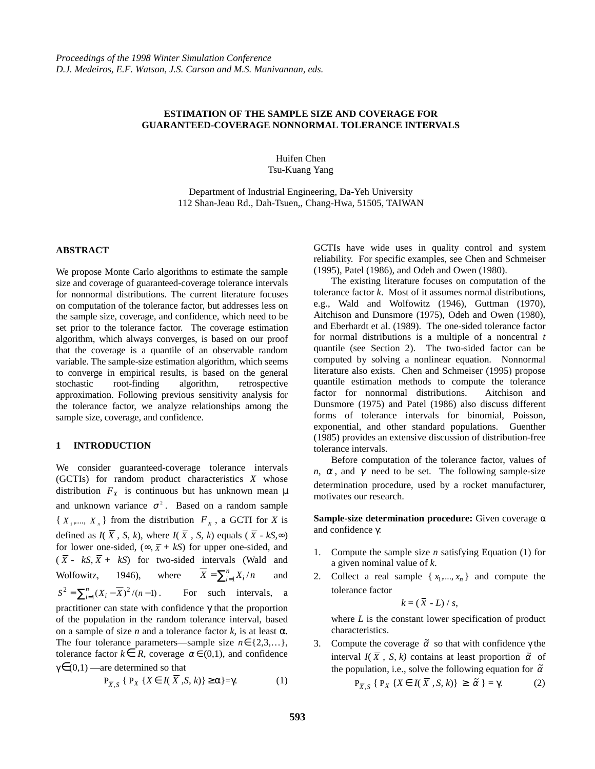# **ESTIMATION OF THE SAMPLE SIZE AND COVERAGE FOR GUARANTEED-COVERAGE NONNORMAL TOLERANCE INTERVALS**

Huifen Chen Tsu-Kuang Yang

Department of Industrial Engineering, Da-Yeh University 112 Shan-Jeau Rd., Dah-Tsuen,, Chang-Hwa, 51505, TAIWAN

# **ABSTRACT**

We propose Monte Carlo algorithms to estimate the sample size and coverage of guaranteed-coverage tolerance intervals for nonnormal distributions. The current literature focuses on computation of the tolerance factor, but addresses less on the sample size, coverage, and confidence, which need to be set prior to the tolerance factor. The coverage estimation algorithm, which always converges, is based on our proof that the coverage is a quantile of an observable random variable. The sample-size estimation algorithm, which seems to converge in empirical results, is based on the general stochastic root-finding algorithm, retrospective approximation. Following previous sensitivity analysis for the tolerance factor, we analyze relationships among the sample size, coverage, and confidence.

#### **1 INTRODUCTION**

We consider guaranteed-coverage tolerance intervals (GCTIs) for random product characteristics *X* whose distribution  $F_X$  is continuous but has unknown mean  $\mu$ and unknown variance  $\sigma^2$ . Based on a random sample  ${X_1, ..., X_n}$  from the distribution  $F_x$ , a GCTI for *X* is defined as  $I(\overline{X}, S, k)$ , where  $I(\overline{X}, S, k)$  equals ( $\overline{X}$  -  $kS, \infty$ ) for lower one-sided,  $(\infty, \overline{X} + kS)$  for upper one-sided, and  $(\overline{X} - kS, \overline{X} + kS)$  for two-sided intervals (Wald and Wolfowitz, 1946), where  $\overline{X} = \sum_{i=1}^{n} X_i / n$  and  $S^2 = \sum_{i=1}^n (X_i - \overline{X})^2 / (n-1)$ . For such intervals, a practitioner can state with confidence γ that the proportion of the population in the random tolerance interval, based on a sample of size *n* and a tolerance factor *k*, is at least  $\alpha$ . The four tolerance parameters—sample size  $n \in \{2,3,...\},$ tolerance factor  $k \in R$ , coverage  $\alpha \in (0,1)$ , and confidence

$$
\gamma \in (0,1)
$$
 —are determined so that

$$
\mathbf{P}_{\overline{X},S} \{ \mathbf{P}_X \{ X \in I(X,S,k) \} \ge \alpha \} = \gamma. \tag{1}
$$

GCTIs have wide uses in quality control and system reliability. For specific examples, see Chen and Schmeiser (1995), Patel (1986), and Odeh and Owen (1980).

The existing literature focuses on computation of the tolerance factor *k*. Most of it assumes normal distributions, e.g., Wald and Wolfowitz (1946), Guttman (1970), Aitchison and Dunsmore (1975), Odeh and Owen (1980), and Eberhardt et al. (1989). The one-sided tolerance factor for normal distributions is a multiple of a noncentral *t* quantile (see Section 2). The two-sided factor can be computed by solving a nonlinear equation. Nonnormal literature also exists. Chen and Schmeiser (1995) propose quantile estimation methods to compute the tolerance factor for nonnormal distributions. Aitchison and Dunsmore (1975) and Patel (1986) also discuss different forms of tolerance intervals for binomial, Poisson, exponential, and other standard populations. Guenther (1985) provides an extensive discussion of distribution-free tolerance intervals.

Before computation of the tolerance factor, values of *n*,  $\alpha$ , and  $\gamma$  need to be set. The following sample-size determination procedure, used by a rocket manufacturer, motivates our research.

**Sample-size determination procedure:** Given coverage α and confidence γ:

- 1. Compute the sample size *n* satisfying Equation (1) for a given nominal value of *k*.
- 2. Collect a real sample  $\{x_1, ..., x_n\}$  and compute the tolerance factor

$$
k = (\bar{x} - L) / s,
$$

where *L* is the constant lower specification of product characteristics.

3. Compute the coverage  $\tilde{\alpha}$  so that with confidence  $\gamma$  the interval  $I(\overline{X}, S, k)$  contains at least proportion  $\tilde{\alpha}$  of the population, i.e., solve the following equation for  $\tilde{\alpha}$ 

$$
P_{\overline{X},S} \{ P_X \{ X \in I(\overline{X},S,k) \} \ge \tilde{\alpha} \} = \gamma.
$$
 (2)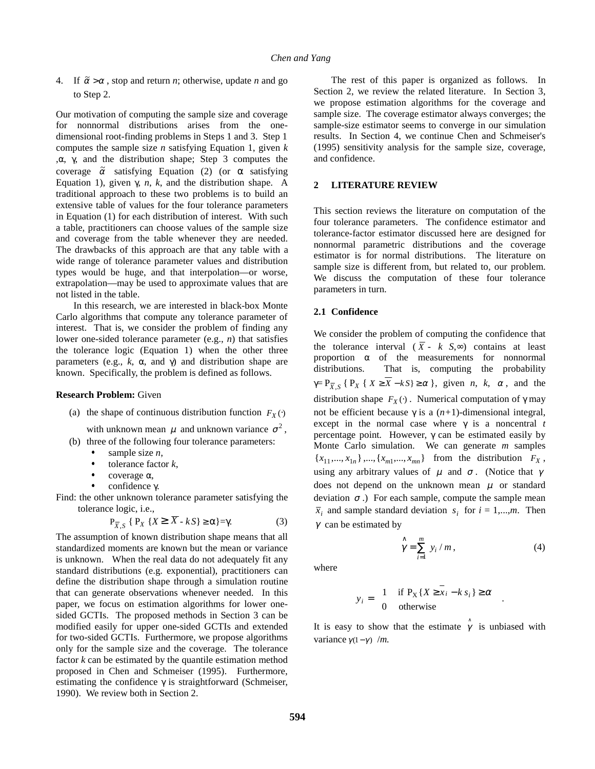4. If  $\tilde{\alpha} > \alpha$ , stop and return *n*; otherwise, update *n* and go to Step 2.

Our motivation of computing the sample size and coverage for nonnormal distributions arises from the onedimensional root-finding problems in Steps 1 and 3. Step 1 computes the sample size *n* satisfying Equation 1, given *k* ,α, γ, and the distribution shape; Step 3 computes the coverage  $\tilde{\alpha}$  satisfying Equation (2) (or  $\alpha$  satisfying Equation 1), given  $\gamma$ , *n*, *k*, and the distribution shape. A traditional approach to these two problems is to build an extensive table of values for the four tolerance parameters in Equation (1) for each distribution of interest. With such a table, practitioners can choose values of the sample size and coverage from the table whenever they are needed. The drawbacks of this approach are that any table with a wide range of tolerance parameter values and distribution types would be huge, and that interpolation—or worse, extrapolation—may be used to approximate values that are not listed in the table.

In this research, we are interested in black-box Monte Carlo algorithms that compute any tolerance parameter of interest. That is, we consider the problem of finding any lower one-sided tolerance parameter (e.g., *n*) that satisfies the tolerance logic (Equation 1) when the other three parameters (e.g.,  $k$ , α, and γ) and distribution shape are known. Specifically, the problem is defined as follows.

### **Research Problem:** Given

(a) the shape of continuous distribution function  $F_X(\cdot)$ 

with unknown mean  $\mu$  and unknown variance  $\sigma^2$ ,

- (b) three of the following four tolerance parameters:
	- sample size *n*,  $\ddot{\phantom{0}}$
	- tolerance factor *k*,  $\ddot{\phantom{0}}$
	- coverage α,  $\ddot{\phantom{0}}$
	- confidence γ.

Find: the other unknown tolerance parameter satisfying the tolerance logic, i.e.,

$$
\mathbf{P}_{\overline{X},S} \{ \mathbf{P}_X \{ X \ge \overline{X} - kS \} \ge \alpha \} = \gamma. \tag{3}
$$

The assumption of known distribution shape means that all standardized moments are known but the mean or variance is unknown. When the real data do not adequately fit any standard distributions (e.g. exponential), practitioners can define the distribution shape through a simulation routine that can generate observations whenever needed. In this paper, we focus on estimation algorithms for lower onesided GCTIs. The proposed methods in Section 3 can be modified easily for upper one-sided GCTIs and extended for two-sided GCTIs. Furthermore, we propose algorithms only for the sample size and the coverage. The tolerance factor *k* can be estimated by the quantile estimation method proposed in Chen and Schmeiser (1995). Furthermore, estimating the confidence  $\gamma$  is straightforward (Schmeiser, 1990). We review both in Section 2.

The rest of this paper is organized as follows. In Section 2, we review the related literature. In Section 3, we propose estimation algorithms for the coverage and sample size. The coverage estimator always converges; the sample-size estimator seems to converge in our simulation results. In Section 4, we continue Chen and Schmeiser's (1995) sensitivity analysis for the sample size, coverage, and confidence.

#### **2 LITERATURE REVIEW**

This section reviews the literature on computation of the four tolerance parameters. The confidence estimator and tolerance-factor estimator discussed here are designed for nonnormal parametric distributions and the coverage estimator is for normal distributions. The literature on sample size is different from, but related to, our problem. We discuss the computation of these four tolerance parameters in turn.

#### **2.1 Confidence**

We consider the problem of computing the confidence that the tolerance interval ( $\overline{X}$  - *k S*, $\infty$ ) contains at least proportion  $\alpha$  of the measurements for nonnormal distributions. That is, computing the probability  $\gamma = P_{\overline{X},S}$  { $P_X$  { $X \ge \overline{X} - kS$ }  $\ge \alpha$  }, given *n*, *k*,  $\alpha$ , and the distribution shape  $F_X(\cdot)$ . Numerical computation of  $\gamma$  may not be efficient because γ is a (*n+*1)-dimensional integral, except in the normal case where γ is a noncentral *t* percentage point. However,  $\gamma$  can be estimated easily by Monte Carlo simulation. We can generate *m* samples  ${x_{11},...,x_{1n}}$ , *m*,  ${x_{m1},...,x_{mn}}$  from the distribution  $F_X$ , using any arbitrary values of  $\mu$  and  $\sigma$ . (Notice that  $\gamma$ does not depend on the unknown mean  $\mu$  or standard deviation  $\sigma$ .) For each sample, compute the sample mean  $\bar{x}_i$  and sample standard deviation  $s_i$  for  $i = 1,...,m$ . Then  $\gamma$  can be estimated by

$$
\hat{\gamma} = \sum_{i=1}^{m} y_i / m, \qquad (4)
$$

where

$$
y_i = \begin{cases} 1 & \text{if } P_X \{X \ge x_i - k s_i\} \ge \alpha \\ 0 & \text{otherwise} \end{cases} .
$$

It is easy to show that the estimate  $\hat{\gamma}$  is unbiased with variance  $\gamma(1-\gamma)$  /*m*.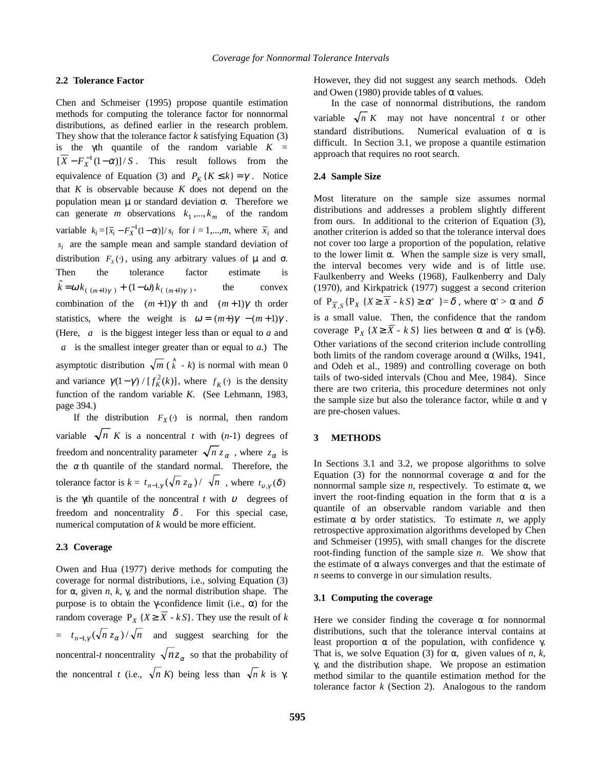## **2.2 Tolerance Factor**

Chen and Schmeiser (1995) propose quantile estimation methods for computing the tolerance factor for nonnormal distributions, as defined earlier in the research problem. They show that the tolerance factor *k* satisfying Equation (3) is the  $\gamma$ th quantile of the random variable  $K =$  $[X - F_X^{-1}(1 - \alpha)]/S$ . This result follows from the equivalence of Equation (3) and  $P_K$  { $K \le k$ } =  $\gamma$ . Notice that *K* is observable because *K* does not depend on the population mean  $\mu$  or standard deviation σ. Therefore we can generate *m* observations  $k_1$ ,...,  $k_m$  of the random variable  $k_i = [\bar{x}_i - F_X^{-1}(1-\alpha)]/s_i$  for  $i = 1,...,m$ , where  $\bar{x}_i$  and  $s_i$  are the sample mean and sample standard deviation of distribution  $F_X(\cdot)$ , using any arbitrary values of  $\mu$  and  $\sigma$ . Then the tolerance factor estimate is  $\hat{k} = \omega k_{\left(\left(\frac{m+1}{\gamma}\right)\right)} + (1-\omega) k_{\left(\left(\frac{m+1}{\gamma}\right)\right)}$ , the convex combination of the  $|(m+1)\gamma|$ th and  $|(m+1)\gamma|$ th order statistics, where the weight is  $\omega = [(m+)\gamma] - (m+1)\gamma$ . (Here,  $|a|$  is the biggest integer less than or equal to *a* and  $\lceil a \rceil$  is the smallest integer greater than or equal to *a*.) The asymptotic distribution  $\sqrt{m}(\hat{k} - k)$  is normal with mean 0 and variance  $\gamma(1 - \gamma) / [f_K^2(k)]$ , where  $f_K(\cdot)$  is the density function of the random variable *K*. (See Lehmann, 1983, page 394.)

If the distribution  $F_X(\cdot)$  is normal, then random variable  $\sqrt{n}$  *K* is a noncentral *t* with (*n*-1) degrees of freedom and noncentrality parameter  $\sqrt{n} z_{\alpha}$ , where  $z_{\alpha}$  is the  $\alpha$  th quantile of the standard normal. Therefore, the tolerance factor is  $k = t_{n-1,y} (\sqrt{n} z_{\alpha}) / \sqrt{n}$ , where  $t_{v,y}(\delta)$ is the γ<sup>th</sup> quantile of the noncentral *t* with  $v$  degrees of freedom and noncentrality  $\delta$ . For this special case, numerical computation of *k* would be more efficient.

## **2.3 Coverage**

Owen and Hua (1977) derive methods for computing the coverage for normal distributions, i.e., solving Equation (3) for α, given *n*, *k*, γ, and the normal distribution shape. The purpose is to obtain the γ-confidence limit (i.e., α) for the random coverage  $P_X \{X \geq \overline{X} - kS\}$ . They use the result of *k*  $= t_{n-1,\gamma} (\sqrt{n} z_{\alpha}) / \sqrt{n}$  and suggest searching for the noncentral-*t* noncentrality  $\sqrt{n}z_{\alpha}$  so that the probability of the noncentral *t* (i.e.,  $\sqrt{n} K$ ) being less than  $\sqrt{n} k$  is  $\gamma$ .

However, they did not suggest any search methods. Odeh and Owen (1980) provide tables of  $\alpha$  values.

In the case of nonnormal distributions, the random variable  $\sqrt{n} K$  may not have noncentral *t* or other standard distributions. Numerical evaluation of  $\alpha$  is difficult. In Section 3.1, we propose a quantile estimation approach that requires no root search.

## **2.4 Sample Size**

Most literature on the sample size assumes normal distributions and addresses a problem slightly different from ours. In additional to the criterion of Equation (3), another criterion is added so that the tolerance interval does not cover too large a proportion of the population, relative to the lower limit α. When the sample size is very small, the interval becomes very wide and is of little use. Faulkenberry and Weeks (1968), Faulkenberry and Daly (1970), and Kirkpatrick (1977) suggest a second criterion of  $P_{\overline{X} S}$  { $P_X$  { $X \ge \overline{X} - kS$ }  $\ge \alpha'$  }= $\delta$ , where  $\alpha' > \alpha$  and  $\delta$ is a small value. Then, the confidence that the random coverage  $P_X \{ X \ge \overline{X} - kS \}$  lies between  $\alpha$  and  $\alpha'$  is  $(\gamma - \delta)$ . Other variations of the second criterion include controlling both limits of the random coverage around  $\alpha$  (Wilks, 1941, and Odeh et al., 1989) and controlling coverage on both tails of two-sided intervals (Chou and Mee, 1984). Since there are two criteria, this procedure determines not only the sample size but also the tolerance factor, while  $\alpha$  and  $\gamma$ are pre-chosen values.

## **3 METHODS**

In Sections 3.1 and 3.2, we propose algorithms to solve Equation (3) for the nonnormal coverage  $α$  and for the nonnormal sample size *n*, respectively. To estimate α, we invert the root-finding equation in the form that  $\alpha$  is a quantile of an observable random variable and then estimate  $\alpha$  by order statistics. To estimate *n*, we apply retrospective approximation algorithms developed by Chen and Schmeiser (1995), with small changes for the discrete root-finding function of the sample size *n*. We show that the estimate of  $\alpha$  always converges and that the estimate of *n* seems to converge in our simulation results.

## **3.1 Computing the coverage**

Here we consider finding the coverage  $\alpha$  for nonnormal distributions, such that the tolerance interval contains at least proportion  $\alpha$  of the population, with confidence γ. That is, we solve Equation (3) for  $\alpha$ , given values of *n*, *k*, γ, and the distribution shape. We propose an estimation method similar to the quantile estimation method for the tolerance factor *k* (Section 2). Analogous to the random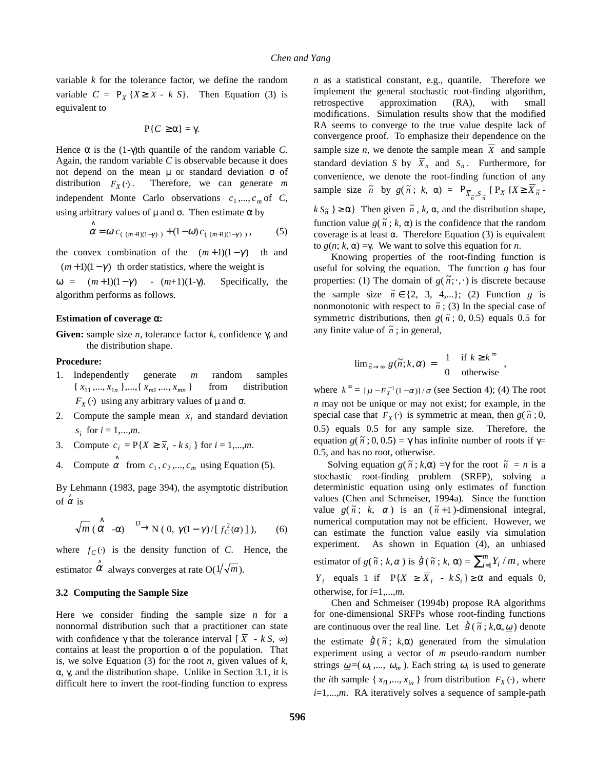variable *k* for the tolerance factor, we define the random variable  $C = P_X {X \ge \overline{X} - kS}$ . Then Equation (3) is equivalent to

$$
P\{C\geq\alpha\}=\gamma.
$$

Hence  $\alpha$  is the (1-γ)th quantile of the random variable *C*. Again, the random variable *C* is observable because it does not depend on the mean  $\mu$  or standard deviation σ of distribution  $F_X(\cdot)$ . Therefore, we can generate *m* independent Monte Carlo observations  $c_1$ ,...,  $c_m$  of *C*, using arbitrary values of  $\mu$  and  $\sigma$ . Then estimate  $\alpha$  by

$$
\stackrel{\wedge}{\alpha} = \omega c_{(\lfloor (m+1)(1-\gamma) \rfloor)} + (1-\omega) c_{(\lceil (m+1)(1-\gamma) \rceil)}, \tag{5}
$$

the convex combination of the  $|(m+1)(1-\gamma)|$  th and  $\lceil$ (*m* + 1)(1 –  $\gamma$ ) th order statistics, where the weight is

 $\omega = \left[ (m+1)(1-\gamma) \right] - (m+1)(1-\gamma)$ . Specifically, the algorithm performs as follows.

#### **Estimation of coverage** α**:**

**Given:** sample size *n*, tolerance factor *k*, confidence γ, and the distribution shape.

## **Procedure:**

- 1. Independently generate *m* random samples  ${x_{11},...,x_{1n}},..., {x_{m1},...,x_{mn}}$  from distribution  $F_X(\cdot)$  using any arbitrary values of  $\mu$  and  $\sigma$ .
- 2. Compute the sample mean  $\bar{x}_i$  and standard deviation *s*<sup>*i*</sup> for  $i = 1,...,m$ .
- 3. Compute  $c_i = P\{X \ge \overline{x}_i k s_i\}$  for  $i = 1,...,m$ .
- 4. Compute  $\hat{\alpha}$  from  $c_1, c_2, ..., c_m$  using Equation (5).

By Lehmann (1983, page 394), the asymptotic distribution of  $\hat{\alpha}$  is

$$
\sqrt{m} \stackrel{\wedge}{(\alpha} -\alpha) \xrightarrow{D} N (0, \gamma(1-\gamma)/[f_C^2(\alpha)]), \qquad (6)
$$

where  $f_C(\cdot)$  is the density function of *C*. Hence, the estimator  $\hat{\alpha}$  always converges at rate O(1/ $\sqrt{m}$ ).

#### **3.2 Computing the Sample Size**

Here we consider finding the sample size *n* for a nonnormal distribution such that a practitioner can state with confidence  $\gamma$  that the tolerance interval  $\overline{X}$  -  $\overline{k}$  *S*,  $\infty$ ) contains at least the proportion  $\alpha$  of the population. That is, we solve Equation (3) for the root *n*, given values of *k*, α, γ, and the distribution shape. Unlike in Section 3.1, it is difficult here to invert the root-finding function to express *n* as a statistical constant, e.g., quantile. Therefore we implement the general stochastic root-finding algorithm, retrospective approximation (RA), with small modifications. Simulation results show that the modified RA seems to converge to the true value despite lack of convergence proof. To emphasize their dependence on the sample size *n*, we denote the sample mean  $\overline{X}$  and sample standard deviation *S* by  $\overline{X}_n$  and  $S_n$ . Furthermore, for convenience, we denote the root-finding function of any sample size  $\tilde{n}$  by  $g(\tilde{n}; k, \alpha) = P_{\overline{X}_{\tilde{n}}, S_{\tilde{n}}}$  {  $P_X \{X \geq \overline{X}_{\tilde{n}}$  $k S_{\tilde{n}} \ge \alpha$ } Then given  $\tilde{n}$ , *k*,  $\alpha$ , and the distribution shape, function value  $g(\tilde{n}; k, \alpha)$  is the confidence that the random coverage is at least α. Therefore Equation (3) is equivalent

to *g*(*n*; *k*, α) =γ. We want to solve this equation for *n*. Knowing properties of the root-finding function is useful for solving the equation. The function *g* has four properties: (1) The domain of  $g(\tilde{n}; \cdot, \cdot)$  is discrete because the sample size  $\tilde{n} \in \{2, 3, 4,...\};$  (2) Function *g* is nonmonotonic with respect to  $\tilde{n}$ ; (3) In the special case of symmetric distributions, then  $g(\tilde{n}; 0, 0.5)$  equals 0.5 for any finite value of  $\tilde{n}$ ; in general,

$$
\lim_{\tilde{n}\to\infty} g(\tilde{n};k,\alpha) = \begin{cases} 1 & \text{if } k \geq k^{\infty} \\ 0 & \text{otherwise} \end{cases}
$$

where  $k^{\infty} = [\mu - F_X^{-1}(1 - \alpha)] / \sigma$  (see Section 4); (4) The root *n* may not be unique or may not exist; for example, in the special case that  $F_X(\cdot)$  is symmetric at mean, then  $g(\tilde{n}; 0, \cdot)$ 0.5) equals 0.5 for any sample size. Therefore, the equation *g*( $\tilde{n}$ ; 0, 0.5) =  $\gamma$  has infinite number of roots if  $\gamma$ = 0.5, and has no root, otherwise.

Solving equation  $g(\tilde{n}; k, \alpha) = \gamma$  for the root  $\tilde{n} = n$  is a stochastic root-finding problem (SRFP), solving a deterministic equation using only estimates of function values (Chen and Schmeiser, 1994a). Since the function value  $g(\tilde{n}; k, \alpha)$  is an  $(\tilde{n}+1)$ -dimensional integral, numerical computation may not be efficient. However, we can estimate the function value easily via simulation experiment. As shown in Equation (4), an unbiased estimator of  $g(\tilde{n}; k, \alpha)$  is  $\hat{g}(\tilde{n}; k, \alpha) = \sum_{i=1}^{m} Y_i / m$ , where *Y*<sub>*i*</sub> equals 1 if  $P{X \ge \overline{X}}_i - kS_i$  ≥  $\alpha$  and equals 0, otherwise, for *i*=1,...,*m*.

Chen and Schmeiser (1994b) propose RA algorithms for one-dimensional SRFPs whose root-finding functions are continuous over the real line. Let  $\hat{g}(\tilde{n}; k, \alpha, \omega)$  denote the estimate  $\hat{g}(\tilde{n}; k, \alpha)$  generated from the simulation experiment using a vector of *m* pseudo-random number strings  $\omega = (\omega_1, \dots, \omega_m)$ . Each string  $\omega_i$  is used to generate the *i*th sample { $x_{i1},...,x_{in}$ } from distribution  $F_X(\cdot)$ , where *i*=1,...,*m*. RA iteratively solves a sequence of sample-path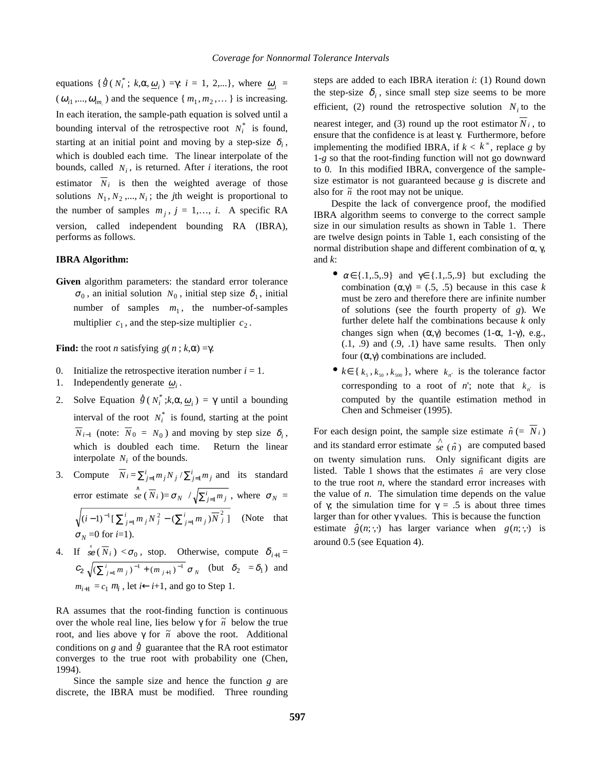equations {  $\hat{g}(N_i^*; k, \alpha, \underline{\omega}_i) = \gamma$ : *i* = 1, 2,...}, where  $\underline{\omega}_i$  =  $(\omega_{i1},...,\omega_{i m_i})$  and the sequence { $m_1, m_2,...$  } is increasing. In each iteration, the sample-path equation is solved until a bounding interval of the retrospective root  $N_i^*$  is found, starting at an initial point and moving by a step-size  $\delta_i$ , which is doubled each time. The linear interpolate of the bounds, called  $N_i$ , is returned. After *i* iterations, the root estimator  $\overline{N}_i$  is then the weighted average of those solutions  $N_1, N_2, \ldots, N_i$ ; the *j*th weight is proportional to the number of samples  $m_j$ ,  $j = 1,..., i$ . A specific RA version, called independent bounding RA (IBRA), performs as follows.

## **IBRA Algorithm:**

**Given** algorithm parameters: the standard error tolerance  $\sigma_0$ , an initial solution  $N_0$ , initial step size  $\delta_1$ , initial number of samples  $m_1$ , the number-of-samples multiplier  $c_1$ , and the step-size multiplier  $c_2$ .

**Find:** the root *n* satisfying  $g(n; k, \alpha) = \gamma$ .

- 0. Initialize the retrospective iteration number  $i = 1$ .
- 1. Independently generate  $\omega_i$ .
- 2. Solve Equation  $\hat{g}(N_i^*; k, \alpha, \underline{\omega}_i) = \gamma$  until a bounding interval of the root  $N_i^*$  is found, starting at the point  $\overline{N}_{i-1}$  (note:  $\overline{N}_0 = N_0$ ) and moving by step size  $\delta_i$ , which is doubled each time. Return the linear interpolate  $N_i$  of the bounds.
- 3. Compute  $\overline{N}_i = \sum_{j=1}^i m_j N_j / \sum_{j=1}^i m_j$  and its standard error estimate  $\int_{0}^{\infty}$   $\left(\frac{\overline{N}}{N_i}\right) = \sigma_N / \sqrt{\sum_{j=1}^{i} m_j}$ , where  $\sigma_N =$  $(i-1)^{-1} \left[ \sum_{j=1}^{i} m_j N_j^2 - (\sum_{j=1}^{i} m_j) \overline{N}_j^2 \right]$  (Note that  $\sigma_N = 0$  for  $i=1$ ).
- 4. If  $\hat{\mathcal{B}}(\overline{N}_i) < \sigma_0$ , stop. Otherwise, compute  $\delta_{i+1} =$  $c_2 \sqrt{(\sum_{j=1}^i m_j)^{-1} + (m_{j+1})^{-1}} \sigma_N$  (but  $\delta_2 = \delta_1$ ) and  $m_{i+1} = c_1 m_i$ , let  $i \leftarrow i+1$ , and go to Step 1.

RA assumes that the root-finding function is continuous over the whole real line, lies below  $\gamma$  for  $\tilde{n}$  below the true root, and lies above γ for  $\tilde{n}$  above the root. Additional conditions on *g* and  $\hat{g}$  guarantee that the RA root estimator converges to the true root with probability one (Chen, 1994).

Since the sample size and hence the function *g* are discrete, the IBRA must be modified. Three rounding steps are added to each IBRA iteration *i*: (1) Round down the step-size  $\delta_i$ , since small step size seems to be more efficient, (2) round the retrospective solution  $N_i$  to the nearest integer, and (3) round up the root estimator  $N_i$ , to ensure that the confidence is at least γ. Furthermore, before implementing the modified IBRA, if  $k < k^{\infty}$ , replace *g* by 1-*g* so that the root-finding function will not go downward to 0. In this modified IBRA, convergence of the samplesize estimator is not guaranteed because *g* is discrete and also for  $\tilde{n}$  the root may not be unique.

Despite the lack of convergence proof, the modified IBRA algorithm seems to converge to the correct sample size in our simulation results as shown in Table 1. There are twelve design points in Table 1, each consisting of the normal distribution shape and different combination of α, γ, and *k*:

- $\alpha \in \{.1, .5, .9\}$  and  $\gamma \in \{.1, .5, .9\}$  but excluding the combination ( $\alpha$ , $\gamma$ ) = (.5, .5) because in this case *k* must be zero and therefore there are infinite number of solutions (see the fourth property of *g*). We further delete half the combinations because *k* only changes sign when  $(α, γ)$  becomes  $(1-α, 1-γ)$ , e.g.,  $(0.1, 0.9)$  and  $(0.9, 0.1)$  have same results. Then only four (α,γ) combinations are included.
- $k \in \{k_5, k_{50}, k_{500}\}\$ , where  $k_{n'}$  is the tolerance factor corresponding to a root of *n*'; note that  $k_{n'}$  is computed by the quantile estimation method in Chen and Schmeiser (1995).

For each design point, the sample size estimate  $\hat{n}$  (=  $\overline{N_i}$ ) and its standard error estimate  $\int_{\alpha}^{\lambda} (n)$  are computed based on twenty simulation runs. Only significant digits are listed. Table 1 shows that the estimates  $\hat{n}$  are very close to the true root *n*, where the standard error increases with the value of *n*. The simulation time depends on the value of γ; the simulation time for  $\gamma = .5$  is about three times larger than for other  $\gamma$  values. This is because the function estimate  $\hat{g}(n; \cdot, \cdot)$  has larger variance when  $g(n; \cdot, \cdot)$  is around 0.5 (see Equation 4).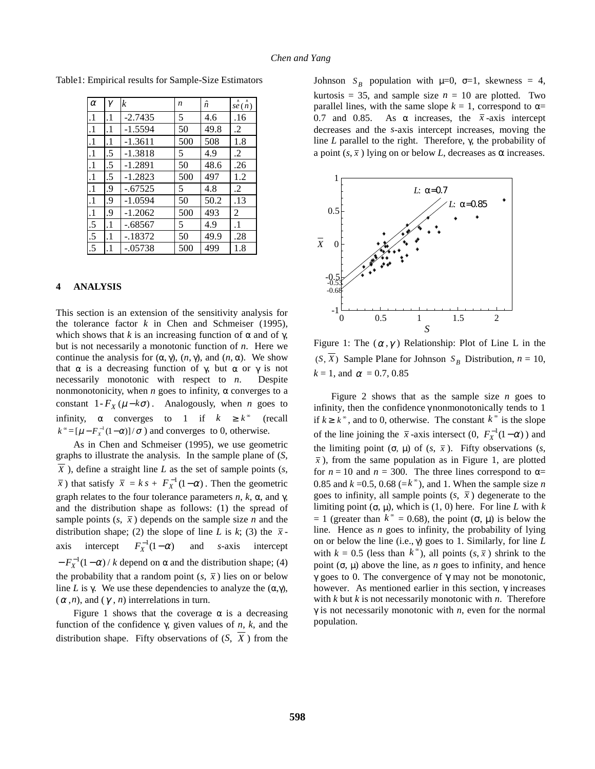| $\alpha$  | γ         | $\boldsymbol{k}$ | n   | ĥ    | $\hat{se}(\hat{n})$ |
|-----------|-----------|------------------|-----|------|---------------------|
| $\cdot$ 1 | $\cdot$   | $-2.7435$        | 5   | 4.6  | .16                 |
| $\cdot$ 1 | $\cdot$ 1 | $-1.5594$        | 50  | 49.8 | $\cdot$             |
| $\cdot$ 1 | $\cdot$ 1 | $-1.3611$        | 500 | 508  | 1.8                 |
| $\cdot$ 1 | .5        | $-1.3818$        | 5   | 4.9  | .2                  |
| $\cdot$ 1 | .5        | $-1.2891$        | 50  | 48.6 | .26                 |
| $\cdot$   | .5        | $-1.2823$        | 500 | 497  | 1.2                 |
| $\cdot$   | .9        | $-.67525$        | 5   | 4.8  | $\cdot$             |
| $\cdot$ 1 | .9        | $-1.0594$        | 50  | 50.2 | .13                 |
| $\cdot$ 1 | .9        | $-1.2062$        | 500 | 493  | 2                   |
| .5        | $\cdot$ 1 | $-.68567$        | 5   | 4.9  | $\cdot$ 1           |
| .5        | $\cdot$ 1 | -.18372          | 50  | 49.9 | .28                 |
| .5        | .1        | $-.05738$        | 500 | 499  | 1.8                 |

Table1: Empirical results for Sample-Size Estimators

# **4 ANALYSIS**

This section is an extension of the sensitivity analysis for the tolerance factor  $k$  in Chen and Schmeiser (1995), which shows that *k* is an increasing function of  $\alpha$  and of  $\gamma$ , but is not necessarily a monotonic function of *n*. Here we continue the analysis for  $(\alpha, \gamma)$ ,  $(n, \gamma)$ , and  $(n, \alpha)$ . We show that  $\alpha$  is a decreasing function of γ, but  $\alpha$  or γ is not necessarily monotonic with respect to *n*. Despite nonmonotonicity, when  $n$  goes to infinity,  $\alpha$  converges to a constant  $1 - F_X(\mu - k\sigma)$ . Analogously, when *n* goes to infinity,  $\alpha$  converges to 1 if  $k \geq k^{\infty}$  (recall  $k^{\infty} = [\mu - F_X^{-1}(1 - \alpha)]/\sigma$ ) and converges to 0, otherwise.

As in Chen and Schmeiser (1995), we use geometric graphs to illustrate the analysis. In the sample plane of (*S*,  $\overline{X}$ ), define a straight line *L* as the set of sample points (*s*,  $\overline{x}$ ) that satisfy  $\overline{x} = k s + F_{x}^{-1}(1-\alpha)$ . Then the geometric graph relates to the four tolerance parameters  $n$ ,  $k$ ,  $\alpha$ , and  $\gamma$ , and the distribution shape as follows: (1) the spread of sample points  $(s, \bar{x})$  depends on the sample size *n* and the distribution shape; (2) the slope of line *L* is *k*; (3) the  $\bar{x}$ axis intercept  $F_X^{-1}(1 - \alpha)$  and *s*-axis intercept  $-F_X^{-1}(1-\alpha)/k$  depend on  $\alpha$  and the distribution shape; (4) the probability that a random point  $(s, \bar{x})$  lies on or below line *L* is  $\gamma$ . We use these dependencies to analyze the  $(\alpha, \gamma)$ ,  $(\alpha, n)$ , and  $(\gamma, n)$  interrelations in turn.

Figure 1 shows that the coverage  $\alpha$  is a decreasing function of the confidence γ, given values of *n*, *k*, and the distribution shape. Fifty observations of  $(S, \overline{X})$  from the

Johnson  $S_B$  population with  $\mu=0$ ,  $\sigma=1$ , skewness = 4, kurtosis = 35, and sample size  $n = 10$  are plotted. Two parallel lines, with the same slope  $k = 1$ , correspond to  $\alpha =$ 0.7 and 0.85. As  $\alpha$  increases, the  $\bar{x}$ -axis intercept decreases and the *s*-axis intercept increases, moving the line *L* parallel to the right. Therefore, γ, the probability of a point  $(s, \overline{x})$  lying on or below *L*, decreases as  $\alpha$  increases.



Figure 1: The  $(\alpha, \gamma)$  Relationship: Plot of Line L in the  $(S, \overline{X})$  Sample Plane for Johnson  $S_B$  Distribution,  $n = 10$ ,  $k = 1$ , and  $\alpha = 0.7, 0.85$ 

Figure 2 shows that as the sample size *n* goes to infinity, then the confidence  $\gamma$  nonmonotonically tends to 1 if  $k \geq k^{\infty}$ , and to 0, otherwise. The constant  $k^{\infty}$  is the slope of the line joining the  $\bar{x}$ -axis intersect (0,  $F_X^{-1}(1-\alpha)$ ) and the limiting point  $(\sigma, \mu)$  of  $(s, \bar{x})$ . Fifty observations  $(s, \bar{y})$  $\bar{x}$ ), from the same population as in Figure 1, are plotted for  $n = 10$  and  $n = 300$ . The three lines correspond to  $\alpha =$ 0.85 and  $k = 0.5, 0.68 (= k^{\circ})$ , and 1. When the sample size *n* goes to infinity, all sample points  $(s, \bar{x})$  degenerate to the limiting point  $(\sigma, \mu)$ , which is  $(1, 0)$  here. For line *L* with *k*  $= 1$  (greater than  $k^{\infty} = 0.68$ ), the point (σ, μ) is below the line. Hence as *n* goes to infinity, the probability of lying on or below the line (i.e., γ) goes to 1. Similarly, for line *L* with  $k = 0.5$  (less than  $k^{\infty}$ ), all points  $(s, \bar{x})$  shrink to the point (σ, μ) above the line, as *n* goes to infinity, and hence γ goes to 0. The convergence of γ may not be monotonic, however. As mentioned earlier in this section, γ increases with *k* but *k* is not necessarily monotonic with *n*. Therefore  $\gamma$  is not necessarily monotonic with *n*, even for the normal population.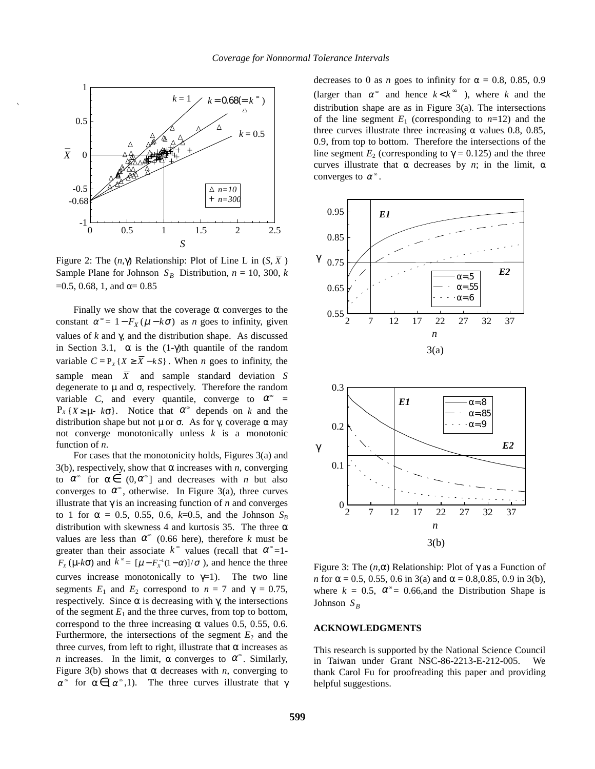

Figure 2: The  $(n, \gamma)$  Relationship: Plot of Line L in  $(S, \overline{X})$ Sample Plane for Johnson  $S_B$  Distribution,  $n = 10, 300, k$  $=0.5, 0.68, 1,$  and  $\alpha = 0.85$ 

Finally we show that the coverage  $\alpha$  converges to the constant  $\alpha^* = 1 - F_X(\mu - k\sigma)$  as *n* goes to infinity, given values of *k* and γ, and the distribution shape. As discussed in Section 3.1,  $\alpha$  is the (1-γ)th quantile of the random variable  $C = P_{y} \{X \ge \overline{X} - kS\}$ . When *n* goes to infinity, the sample mean  $\overline{X}$  and sample standard deviation *S* degenerate to  $\mu$  and  $\sigma$ , respectively. Therefore the random variable *C*, and every quantile, converge to  $\alpha^{\infty}$  =  $P_X {X \ge \mu - k\sigma}$ . Notice that  $\alpha^{\infty}$  depends on *k* and the distribution shape but not  $\mu$  or σ. As for γ, coverage α may not converge monotonically unless *k* is a monotonic function of *n*.

For cases that the monotonicity holds, Figures 3(a) and 3(b), respectively, show that  $\alpha$  increases with *n*, converging to  $\alpha^{\infty}$  for  $\alpha \in (0, \alpha^{\infty})$  and decreases with *n* but also converges to  $\alpha^{\infty}$ , otherwise. In Figure 3(a), three curves illustrate that  $\gamma$  is an increasing function of *n* and converges to 1 for  $\alpha = 0.5, 0.55, 0.6, k=0.5,$  and the Johnson  $S_B$ distribution with skewness 4 and kurtosis 35. The three  $\alpha$ values are less than  $\alpha^{\infty}$  (0.66 here), therefore *k* must be greater than their associate  $k^{\infty}$  values (recall that  $\alpha^{\infty}$ =1- $F_X(\mu - k\sigma)$  and  $k^* = [\mu - F_X^{-1}(1 - \alpha)]/\sigma$ , and hence the three curves increase monotonically to  $\gamma=1$ ). The two line segments  $E_1$  and  $E_2$  correspond to  $n = 7$  and  $\gamma = 0.75$ , respectively. Since α is decreasing with γ, the intersections of the segment  $E_1$  and the three curves, from top to bottom, correspond to the three increasing  $\alpha$  values 0.5, 0.55, 0.6. Furthermore, the intersections of the segment  $E_2$  and the three curves, from left to right, illustrate that  $\alpha$  increases as *n* increases. In the limit,  $\alpha$  converges to  $\alpha^{\infty}$ . Similarly, Figure 3(b) shows that  $\alpha$  decreases with *n*, converging to  $α<sup>∞</sup>$  for  $α ∈ [α<sup>∞</sup>,1)$ . The three curves illustrate that γ decreases to 0 as *n* goes to infinity for  $\alpha = 0.8, 0.85, 0.9$ (larger than  $\alpha^*$  and hence  $k < k^*$ ), where k and the distribution shape are as in Figure 3(a). The intersections of the line segment  $E_1$  (corresponding to  $n=12$ ) and the three curves illustrate three increasing  $\alpha$  values 0.8, 0.85, 0.9, from top to bottom. Therefore the intersections of the line segment  $E_2$  (corresponding to  $\gamma = 0.125$ ) and the three curves illustrate that  $\alpha$  decreases by *n*; in the limit,  $\alpha$ converges to  $\alpha^{\infty}$ .





Figure 3: The (*n*,α) Relationship: Plot of γ as a Function of *n* for  $\alpha = 0.5, 0.55, 0.6$  in 3(a) and  $\alpha = 0.8, 0.85, 0.9$  in 3(b), where  $k = 0.5$ ,  $\alpha^* = 0.66$ , and the Distribution Shape is Johnson  $S_B$ 

## **ACKNOWLEDGMENTS**

This research is supported by the National Science Council in Taiwan under Grant NSC-86-2213-E-212-005. We thank Carol Fu for proofreading this paper and providing helpful suggestions.